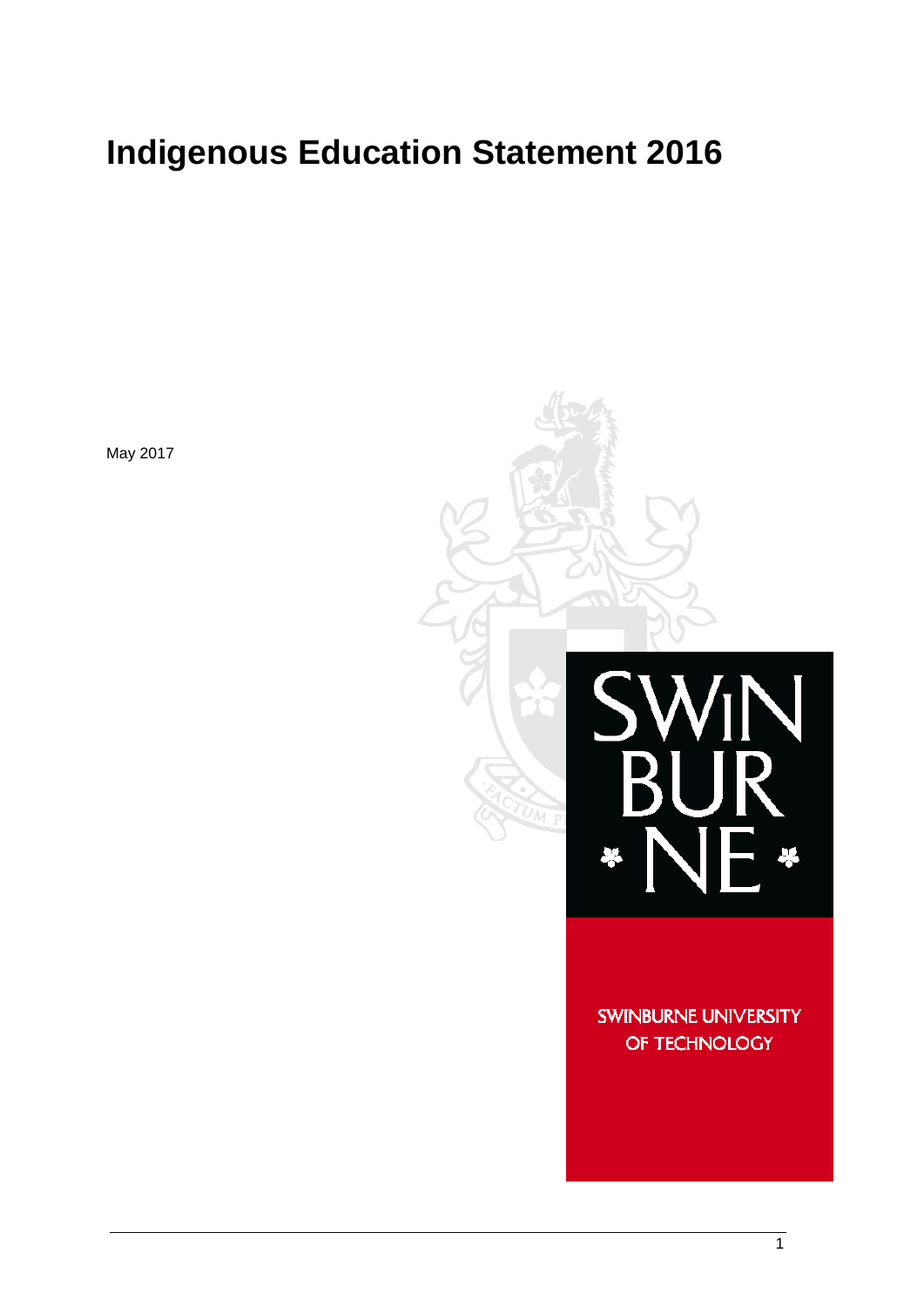# **Indigenous Education Statement 2016**

May 2017



**SWINBURNE UNIVERSITY** OF TECHNOLOGY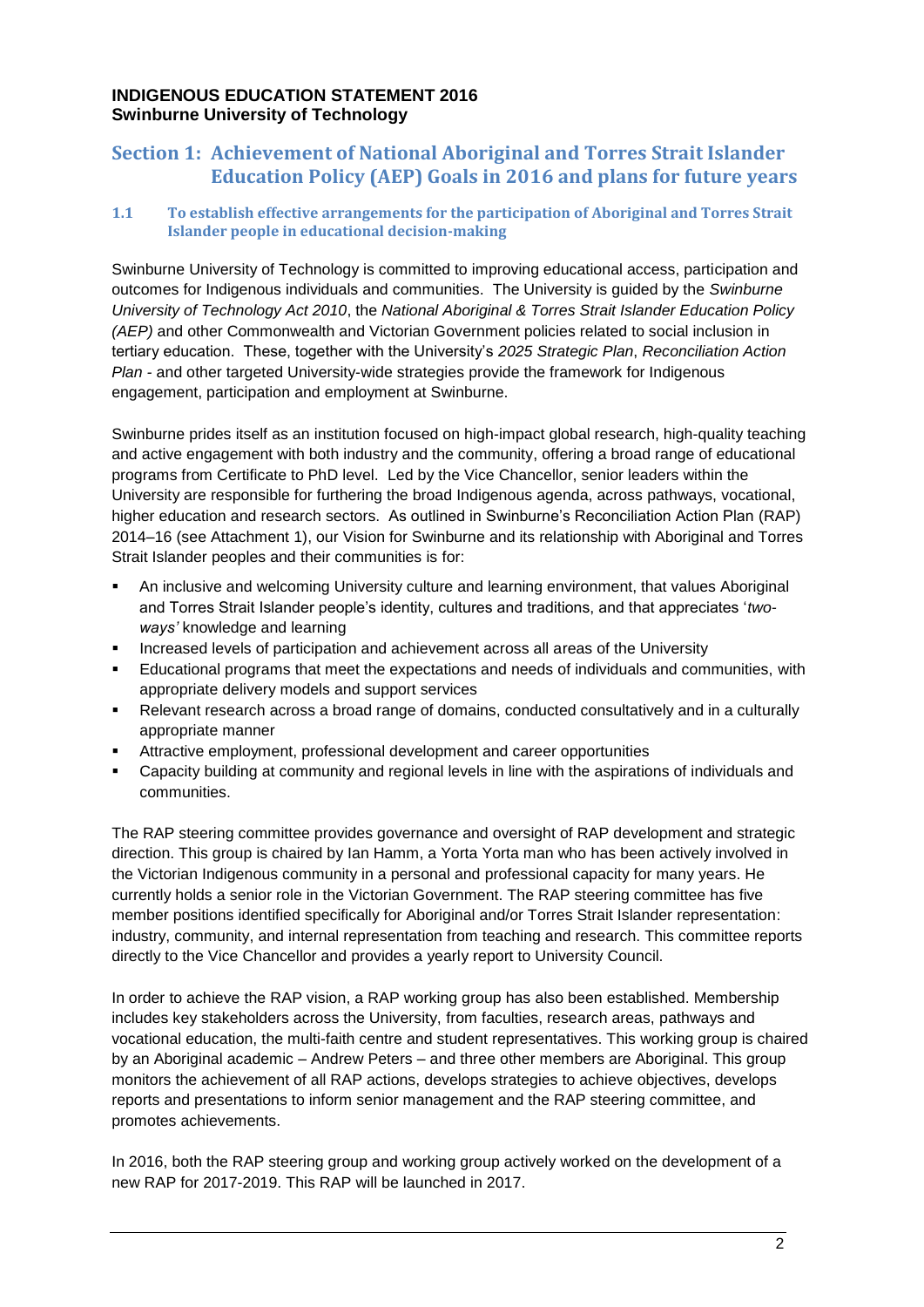# **INDIGENOUS EDUCATION STATEMENT 2016 Swinburne University of Technology**

# **Section 1: Achievement of National Aboriginal and Torres Strait Islander Education Policy (AEP) Goals in 2016 and plans for future years**

## **1.1 To establish effective arrangements for the participation of Aboriginal and Torres Strait Islander people in educational decision-making**

Swinburne University of Technology is committed to improving educational access, participation and outcomes for Indigenous individuals and communities. The University is guided by the *Swinburne University of Technology Act 2010*, the *National Aboriginal & Torres Strait Islander Education Policy (AEP)* and other Commonwealth and Victorian Government policies related to social inclusion in tertiary education. These, together with the University's *2025 Strategic Plan*, *Reconciliation Action Plan -* and other targeted University-wide strategies provide the framework for Indigenous engagement, participation and employment at Swinburne.

Swinburne prides itself as an institution focused on high-impact global research, high-quality teaching and active engagement with both industry and the community, offering a broad range of educational programs from Certificate to PhD level. Led by the Vice Chancellor, senior leaders within the University are responsible for furthering the broad Indigenous agenda, across pathways, vocational, higher education and research sectors. As outlined in Swinburne's Reconciliation Action Plan (RAP) 2014–16 (see Attachment 1), our Vision for Swinburne and its relationship with Aboriginal and Torres Strait Islander peoples and their communities is for:

- An inclusive and welcoming University culture and learning environment, that values Aboriginal and Torres Strait Islander people's identity, cultures and traditions, and that appreciates '*twoways'* knowledge and learning
- Increased levels of participation and achievement across all areas of the University
- Educational programs that meet the expectations and needs of individuals and communities, with appropriate delivery models and support services
- Relevant research across a broad range of domains, conducted consultatively and in a culturally appropriate manner
- Attractive employment, professional development and career opportunities
- Capacity building at community and regional levels in line with the aspirations of individuals and communities.

The RAP steering committee provides governance and oversight of RAP development and strategic direction. This group is chaired by Ian Hamm, a Yorta Yorta man who has been actively involved in the Victorian Indigenous community in a personal and professional capacity for many years. He currently holds a senior role in the Victorian Government. The RAP steering committee has five member positions identified specifically for Aboriginal and/or Torres Strait Islander representation: industry, community, and internal representation from teaching and research. This committee reports directly to the Vice Chancellor and provides a yearly report to University Council.

In order to achieve the RAP vision, a RAP working group has also been established. Membership includes key stakeholders across the University, from faculties, research areas, pathways and vocational education, the multi-faith centre and student representatives. This working group is chaired by an Aboriginal academic – Andrew Peters – and three other members are Aboriginal. This group monitors the achievement of all RAP actions, develops strategies to achieve objectives, develops reports and presentations to inform senior management and the RAP steering committee, and promotes achievements.

In 2016, both the RAP steering group and working group actively worked on the development of a new RAP for 2017-2019. This RAP will be launched in 2017.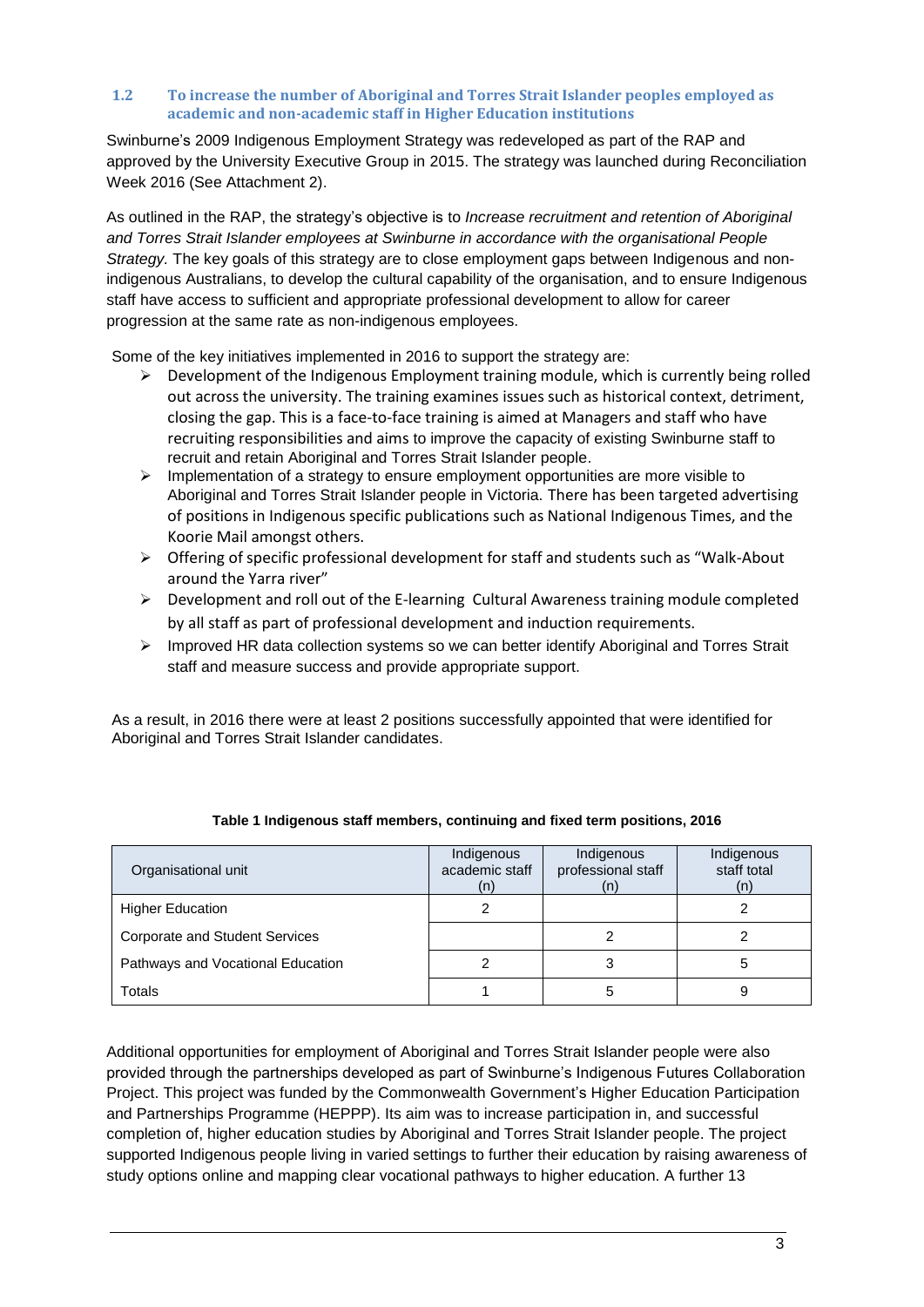#### **1.2 To increase the number of Aboriginal and Torres Strait Islander peoples employed as academic and non-academic staff in Higher Education institutions**

Swinburne's 2009 Indigenous Employment Strategy was redeveloped as part of the RAP and approved by the University Executive Group in 2015. The strategy was launched during Reconciliation Week 2016 (See Attachment 2).

As outlined in the RAP, the strategy's objective is to *Increase recruitment and retention of Aboriginal and Torres Strait Islander employees at Swinburne in accordance with the organisational People Strategy.* The key goals of this strategy are to close employment gaps between Indigenous and nonindigenous Australians, to develop the cultural capability of the organisation, and to ensure Indigenous staff have access to sufficient and appropriate professional development to allow for career progression at the same rate as non-indigenous employees.

Some of the key initiatives implemented in 2016 to support the strategy are:

- $\triangleright$  Development of the Indigenous Employment training module, which is currently being rolled out across the university. The training examines issues such as historical context, detriment, closing the gap. This is a face-to-face training is aimed at Managers and staff who have recruiting responsibilities and aims to improve the capacity of existing Swinburne staff to recruit and retain Aboriginal and Torres Strait Islander people.
- $\triangleright$  Implementation of a strategy to ensure employment opportunities are more visible to Aboriginal and Torres Strait Islander people in Victoria. There has been targeted advertising of positions in Indigenous specific publications such as National Indigenous Times, and the Koorie Mail amongst others.
- $\triangleright$  Offering of specific professional development for staff and students such as "Walk-About" around the Yarra river"
- $\triangleright$  Development and roll out of the E-learning Cultural Awareness training module completed by all staff as part of professional development and induction requirements.
- $\triangleright$  Improved HR data collection systems so we can better identify Aboriginal and Torres Strait staff and measure success and provide appropriate support.

As a result, in 2016 there were at least 2 positions successfully appointed that were identified for Aboriginal and Torres Strait Islander candidates.

| Organisational unit                   | Indigenous<br>academic staff<br>(n) | Indigenous<br>professional staff<br>(n) | Indigenous<br>staff total<br>(n) |
|---------------------------------------|-------------------------------------|-----------------------------------------|----------------------------------|
| <b>Higher Education</b>               |                                     |                                         |                                  |
| <b>Corporate and Student Services</b> |                                     |                                         |                                  |
| Pathways and Vocational Education     |                                     |                                         |                                  |
| Totals                                |                                     | G                                       |                                  |

## **Table 1 Indigenous staff members, continuing and fixed term positions, 2016**

Additional opportunities for employment of Aboriginal and Torres Strait Islander people were also provided through the partnerships developed as part of Swinburne's Indigenous Futures Collaboration Project. This project was funded by the Commonwealth Government's Higher Education Participation and Partnerships Programme (HEPPP). Its aim was to increase participation in, and successful completion of, higher education studies by Aboriginal and Torres Strait Islander people. The project supported Indigenous people living in varied settings to further their education by raising awareness of study options online and mapping clear vocational pathways to higher education. A further 13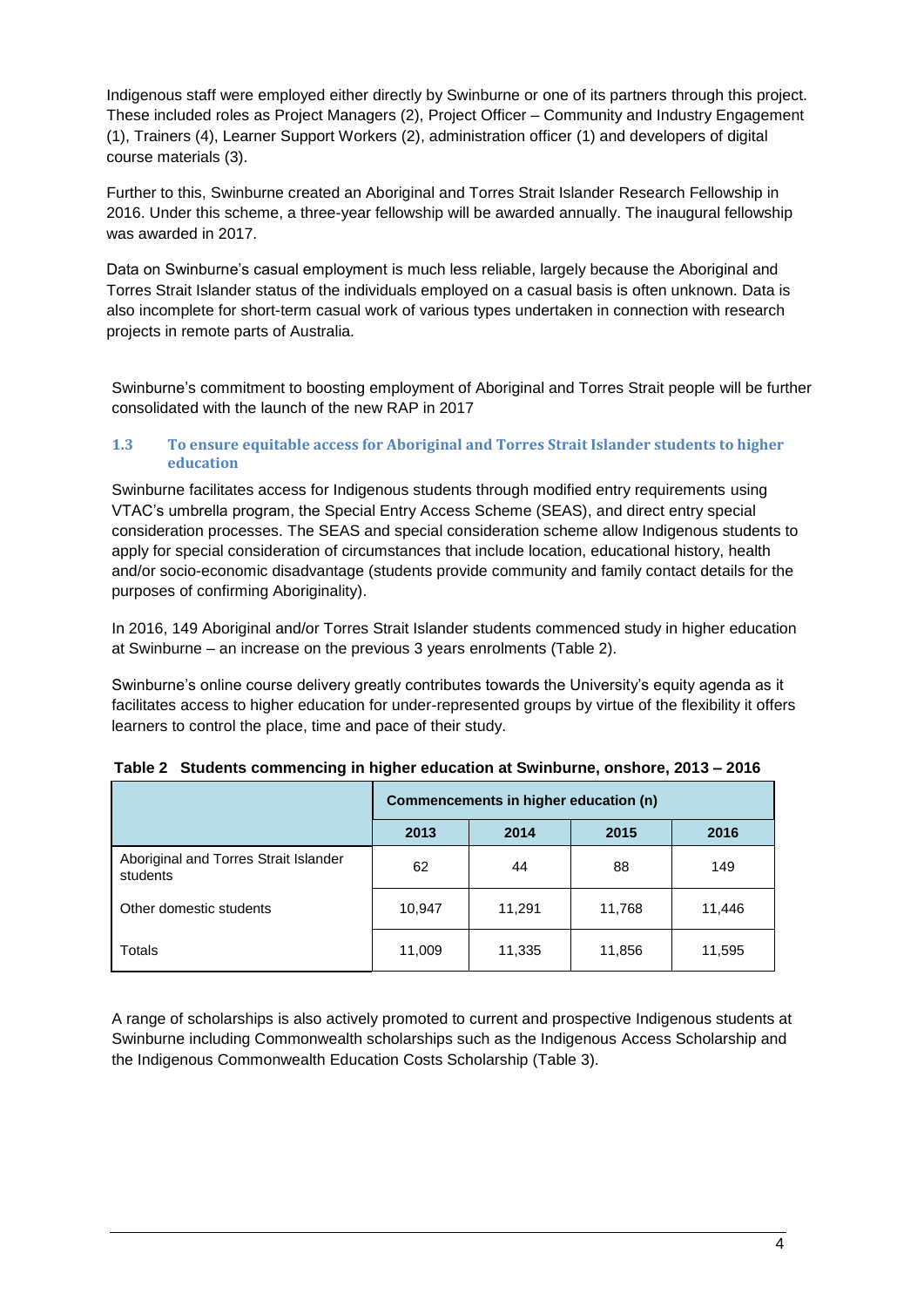Indigenous staff were employed either directly by Swinburne or one of its partners through this project. These included roles as Project Managers (2), Project Officer – Community and Industry Engagement (1), Trainers (4), Learner Support Workers (2), administration officer (1) and developers of digital course materials (3).

Further to this, Swinburne created an Aboriginal and Torres Strait Islander Research Fellowship in 2016. Under this scheme, a three-year fellowship will be awarded annually. The inaugural fellowship was awarded in 2017.

Data on Swinburne's casual employment is much less reliable, largely because the Aboriginal and Torres Strait Islander status of the individuals employed on a casual basis is often unknown. Data is also incomplete for short-term casual work of various types undertaken in connection with research projects in remote parts of Australia.

Swinburne's commitment to boosting employment of Aboriginal and Torres Strait people will be further consolidated with the launch of the new RAP in 2017

## **1.3 To ensure equitable access for Aboriginal and Torres Strait Islander students to higher education**

Swinburne facilitates access for Indigenous students through modified entry requirements using VTAC's umbrella program, the Special Entry Access Scheme (SEAS), and direct entry special consideration processes. The SEAS and special consideration scheme allow Indigenous students to apply for special consideration of circumstances that include location, educational history, health and/or socio-economic disadvantage (students provide community and family contact details for the purposes of confirming Aboriginality).

In 2016, 149 Aboriginal and/or Torres Strait Islander students commenced study in higher education at Swinburne – an increase on the previous 3 years enrolments (Table 2).

Swinburne's online course delivery greatly contributes towards the University's equity agenda as it facilitates access to higher education for under-represented groups by virtue of the flexibility it offers learners to control the place, time and pace of their study.

|                                                   | Commencements in higher education (n) |        |        |        |  |  |
|---------------------------------------------------|---------------------------------------|--------|--------|--------|--|--|
|                                                   | 2013                                  | 2014   | 2015   | 2016   |  |  |
| Aboriginal and Torres Strait Islander<br>students | 62                                    | 44     | 88     | 149    |  |  |
| Other domestic students                           | 10,947                                | 11,291 | 11,768 | 11,446 |  |  |
| Totals                                            | 11,009                                | 11,335 | 11,856 | 11,595 |  |  |

|  | Table 2 Students commencing in higher education at Swinburne, onshore, 2013 - 2016 |  |
|--|------------------------------------------------------------------------------------|--|
|--|------------------------------------------------------------------------------------|--|

A range of scholarships is also actively promoted to current and prospective Indigenous students at Swinburne including Commonwealth scholarships such as the Indigenous Access Scholarship and the Indigenous Commonwealth Education Costs Scholarship (Table 3).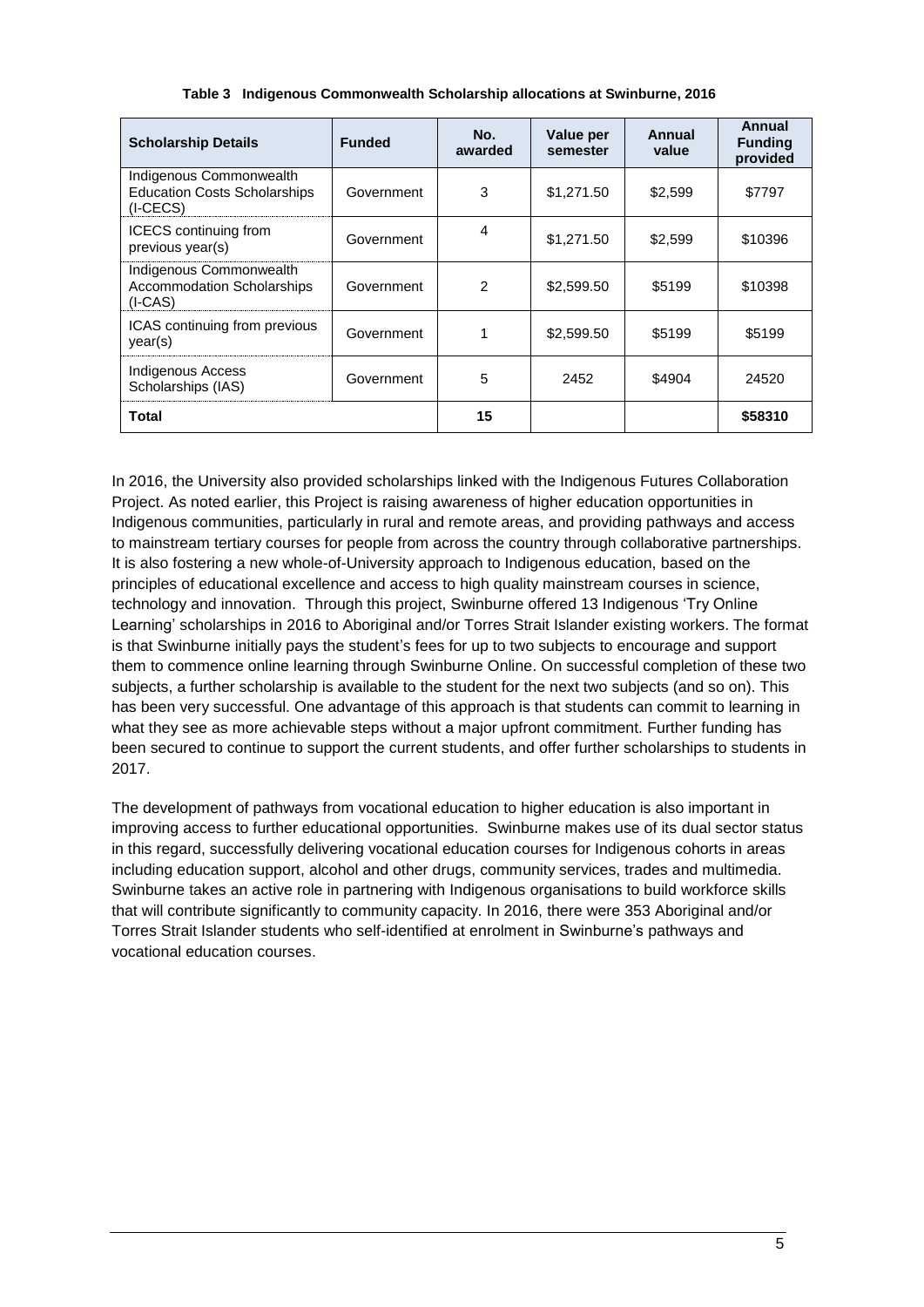| <b>Scholarship Details</b>                                                   | <b>Funded</b> | No.<br>awarded | Value per<br>semester | Annual<br>value | Annual<br><b>Funding</b><br>provided |
|------------------------------------------------------------------------------|---------------|----------------|-----------------------|-----------------|--------------------------------------|
| Indigenous Commonwealth<br><b>Education Costs Scholarships</b><br>$(I-CECS)$ | Government    | 3              | \$1,271.50            | \$2.599         | \$7797                               |
| <b>ICECS</b> continuing from<br>previous year(s)                             | Government    | 4              | \$1,271.50            | \$2,599         | \$10396                              |
| Indigenous Commonwealth<br><b>Accommodation Scholarships</b><br>$(I-CAS)$    | Government    | $\mathcal{P}$  | \$2,599.50            | \$5199          | \$10398                              |
| ICAS continuing from previous<br>year(s)                                     | Government    |                | \$2,599.50            | \$5199          | \$5199                               |
| <b>Indigenous Access</b><br>Scholarships (IAS)                               | Government    | 5              | 2452                  | \$4904          | 24520                                |
| Total                                                                        |               | 15             |                       |                 | \$58310                              |

#### **Table 3 Indigenous Commonwealth Scholarship allocations at Swinburne, 2016**

In 2016, the University also provided scholarships linked with the Indigenous Futures Collaboration Project. As noted earlier, this Project is raising awareness of higher education opportunities in Indigenous communities, particularly in rural and remote areas, and providing pathways and access to mainstream tertiary courses for people from across the country through collaborative partnerships. It is also fostering a new whole-of-University approach to Indigenous education, based on the principles of educational excellence and access to high quality mainstream courses in science, technology and innovation. Through this project, Swinburne offered 13 Indigenous 'Try Online Learning' scholarships in 2016 to Aboriginal and/or Torres Strait Islander existing workers. The format is that Swinburne initially pays the student's fees for up to two subjects to encourage and support them to commence online learning through Swinburne Online. On successful completion of these two subjects, a further scholarship is available to the student for the next two subjects (and so on). This has been very successful. One advantage of this approach is that students can commit to learning in what they see as more achievable steps without a major upfront commitment. Further funding has been secured to continue to support the current students, and offer further scholarships to students in 2017.

The development of pathways from vocational education to higher education is also important in improving access to further educational opportunities. Swinburne makes use of its dual sector status in this regard, successfully delivering vocational education courses for Indigenous cohorts in areas including education support, alcohol and other drugs, community services, trades and multimedia. Swinburne takes an active role in partnering with Indigenous organisations to build workforce skills that will contribute significantly to community capacity. In 2016, there were 353 Aboriginal and/or Torres Strait Islander students who self-identified at enrolment in Swinburne's pathways and vocational education courses.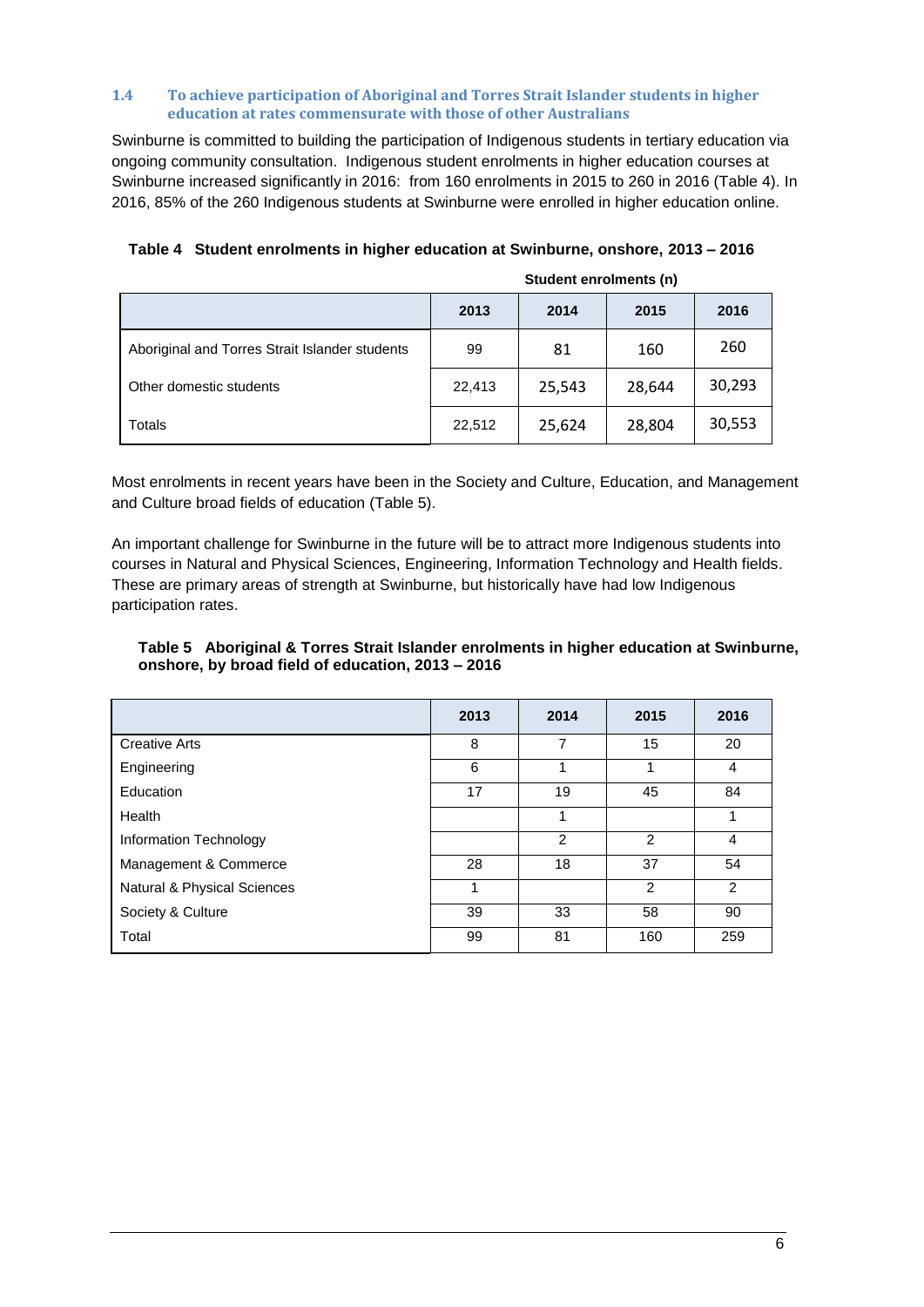#### **1.4 To achieve participation of Aboriginal and Torres Strait Islander students in higher education at rates commensurate with those of other Australians**

Swinburne is committed to building the participation of Indigenous students in tertiary education via ongoing community consultation. Indigenous student enrolments in higher education courses at Swinburne increased significantly in 2016: from 160 enrolments in 2015 to 260 in 2016 (Table 4). In 2016, 85% of the 260 Indigenous students at Swinburne were enrolled in higher education online.

|                                                | Student enrolments (n) |        |        |        |
|------------------------------------------------|------------------------|--------|--------|--------|
|                                                | 2013                   | 2014   | 2015   | 2016   |
| Aboriginal and Torres Strait Islander students | 99                     | 81     | 160    | 260    |
| Other domestic students                        | 22,413                 | 25,543 | 28,644 | 30,293 |
| Totals                                         | 22,512                 | 25,624 | 28,804 | 30,553 |

# **Table 4 Student enrolments in higher education at Swinburne, onshore, 2013 – 2016**

Most enrolments in recent years have been in the Society and Culture, Education, and Management and Culture broad fields of education (Table 5).

An important challenge for Swinburne in the future will be to attract more Indigenous students into courses in Natural and Physical Sciences, Engineering, Information Technology and Health fields. These are primary areas of strength at Swinburne, but historically have had low Indigenous participation rates.

#### **Table 5 Aboriginal & Torres Strait Islander enrolments in higher education at Swinburne, onshore, by broad field of education, 2013 – 2016**

|                             | 2013 | 2014           | 2015           | 2016 |
|-----------------------------|------|----------------|----------------|------|
| <b>Creative Arts</b>        | 8    | 7              | 15             | 20   |
| Engineering                 | 6    |                | 1              | 4    |
| Education                   | 17   | 19             | 45             | 84   |
| Health                      |      |                |                | 1    |
| Information Technology      |      | $\mathfrak{p}$ | $\mathfrak{p}$ | 4    |
| Management & Commerce       | 28   | 18             | 37             | 54   |
| Natural & Physical Sciences | 1    |                | $\mathfrak{p}$ | 2    |
| Society & Culture           | 39   | 33             | 58             | 90   |
| Total                       | 99   | 81             | 160            | 259  |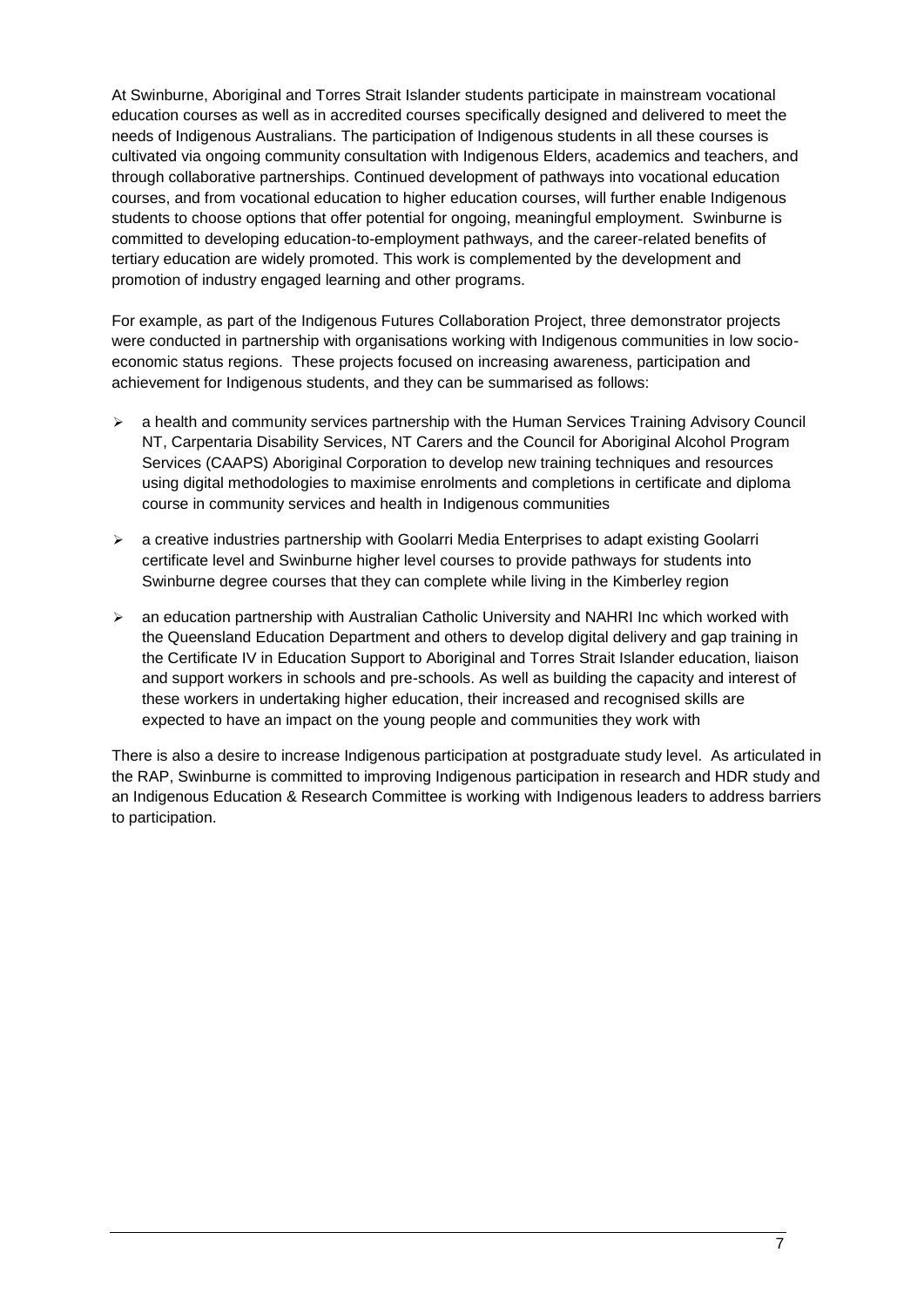At Swinburne, Aboriginal and Torres Strait Islander students participate in mainstream vocational education courses as well as in accredited courses specifically designed and delivered to meet the needs of Indigenous Australians. The participation of Indigenous students in all these courses is cultivated via ongoing community consultation with Indigenous Elders, academics and teachers, and through collaborative partnerships. Continued development of pathways into vocational education courses, and from vocational education to higher education courses, will further enable Indigenous students to choose options that offer potential for ongoing, meaningful employment. Swinburne is committed to developing education-to-employment pathways, and the career-related benefits of tertiary education are widely promoted. This work is complemented by the development and promotion of industry engaged learning and other programs.

For example, as part of the Indigenous Futures Collaboration Project, three demonstrator projects were conducted in partnership with organisations working with Indigenous communities in low socioeconomic status regions. These projects focused on increasing awareness, participation and achievement for Indigenous students, and they can be summarised as follows:

- $\triangleright$  a health and community services partnership with the Human Services Training Advisory Council NT, Carpentaria Disability Services, NT Carers and the Council for Aboriginal Alcohol Program Services (CAAPS) Aboriginal Corporation to develop new training techniques and resources using digital methodologies to maximise enrolments and completions in certificate and diploma course in community services and health in Indigenous communities
- $\geq$  a creative industries partnership with Goolarri Media Enterprises to adapt existing Goolarri certificate level and Swinburne higher level courses to provide pathways for students into Swinburne degree courses that they can complete while living in the Kimberley region
- $\triangleright$  an education partnership with Australian Catholic University and NAHRI Inc which worked with the Queensland Education Department and others to develop digital delivery and gap training in the Certificate IV in Education Support to Aboriginal and Torres Strait Islander education, liaison and support workers in schools and pre-schools. As well as building the capacity and interest of these workers in undertaking higher education, their increased and recognised skills are expected to have an impact on the young people and communities they work with

There is also a desire to increase Indigenous participation at postgraduate study level. As articulated in the [RAP,](http://www.swinburne.edu.au/corporate/spq/docs/swinonly/Plans_2014/140430%20Research%20&%20%20Development%20Strategy%20v3.1.pdf) Swinburne is committed to improving Indigenous participation in research and HDR study and an Indigenous Education & Research Committee is working with Indigenous leaders to address barriers to participation.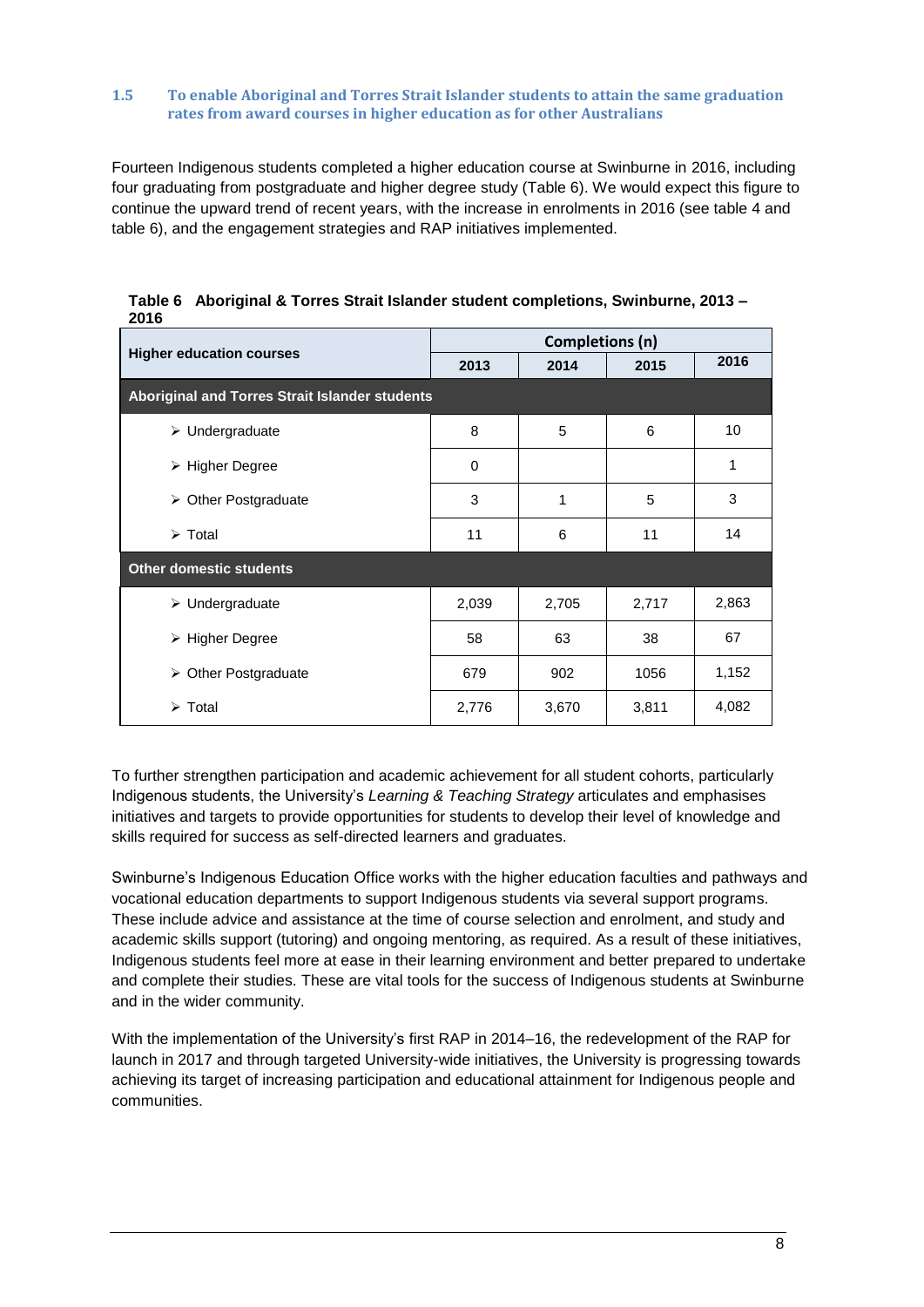#### **1.5 To enable Aboriginal and Torres Strait Islander students to attain the same graduation rates from award courses in higher education as for other Australians**

Fourteen Indigenous students completed a higher education course at Swinburne in 2016, including four graduating from postgraduate and higher degree study (Table 6). We would expect this figure to continue the upward trend of recent years, with the increase in enrolments in 2016 (see table 4 and table 6), and the engagement strategies and RAP initiatives implemented.

| <b>Higher education courses</b>                | Completions (n) |       |       |       |  |
|------------------------------------------------|-----------------|-------|-------|-------|--|
|                                                | 2013            | 2014  | 2015  | 2016  |  |
| Aboriginal and Torres Strait Islander students |                 |       |       |       |  |
| $\triangleright$ Undergraduate                 | 8               | 5     | 6     | 10    |  |
| $\triangleright$ Higher Degree                 | 0               |       |       | 1     |  |
| $\triangleright$ Other Postgraduate            | 3               | 1     | 5     | 3     |  |
| $\triangleright$ Total                         | 11              | 6     | 11    | 14    |  |
| <b>Other domestic students</b>                 |                 |       |       |       |  |
| $\triangleright$ Undergraduate                 | 2,039           | 2,705 | 2,717 | 2,863 |  |
| > Higher Degree                                | 58              | 63    | 38    | 67    |  |
| Other Postgraduate<br>➤                        | 679             | 902   | 1056  | 1,152 |  |
| $\triangleright$ Total                         | 2,776           | 3,670 | 3,811 | 4,082 |  |

**Table 6 Aboriginal & Torres Strait Islander student completions, Swinburne, 2013 – 2016**

To further strengthen participation and academic achievement for all student cohorts, particularly Indigenous students, the University's *[Learning & Teaching Strategy](http://www.swinburne.edu.au/corporate/spq/docs/swinonly/Plans_2014/2020%20L&T%20Strategy_web.pdf)* articulates and emphasises initiatives and targets to provide opportunities for students to develop their level of knowledge and skills required for success as self-directed learners and graduates.

Swinburne's Indigenous Education Office works with the higher education faculties and pathways and vocational education departments to support Indigenous students via several support programs. These include advice and assistance at the time of course selection and enrolment, and study and academic skills support (tutoring) and ongoing mentoring, as required. As a result of these initiatives, Indigenous students feel more at ease in their learning environment and better prepared to undertake and complete their studies. These are vital tools for the success of Indigenous students at Swinburne and in the wider community.

With the implementation of the University's first RAP in 2014–16, the redevelopment of the RAP for launch in 2017 and through targeted University-wide initiatives, the University is progressing towards achieving its target of increasing participation and educational attainment for Indigenous people and communities.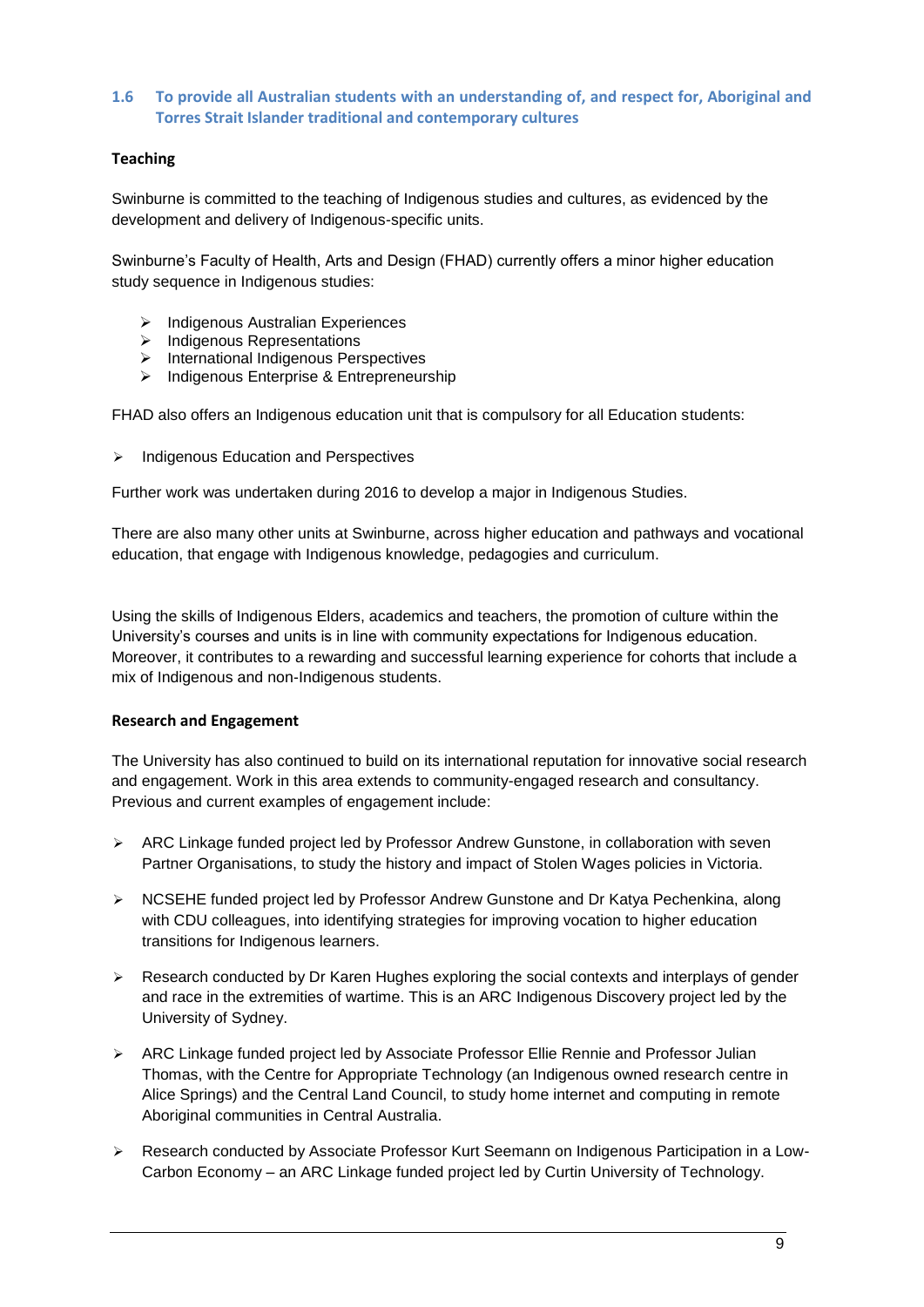# **1.6 To provide all Australian students with an understanding of, and respect for, Aboriginal and Torres Strait Islander traditional and contemporary cultures**

# **Teaching**

Swinburne is committed to the teaching of Indigenous studies and cultures, as evidenced by the development and delivery of Indigenous-specific units.

Swinburne's Faculty of Health, Arts and Design (FHAD) currently offers a minor higher education study sequence in Indigenous studies:

- $\triangleright$  Indigenous Australian Experiences
- $\triangleright$  Indigenous Representations
- $\triangleright$  International Indigenous Perspectives
- $\triangleright$  Indigenous Enterprise & Entrepreneurship

FHAD also offers an Indigenous education unit that is compulsory for all Education students:

 $\triangleright$  Indigenous Education and Perspectives

Further work was undertaken during 2016 to develop a major in Indigenous Studies.

There are also many other units at Swinburne, across higher education and pathways and vocational education, that engage with Indigenous knowledge, pedagogies and curriculum.

Using the skills of Indigenous Elders, academics and teachers, the promotion of culture within the University's courses and units is in line with community expectations for Indigenous education. Moreover, it contributes to a rewarding and successful learning experience for cohorts that include a mix of Indigenous and non-Indigenous students.

## **Research and Engagement**

The University has also continued to build on its international reputation for innovative social research and engagement. Work in this area extends to community-engaged research and consultancy. Previous and current examples of engagement include:

- $\triangleright$  ARC Linkage funded project led by Professor Andrew Gunstone, in collaboration with seven Partner Organisations, to study the history and impact of Stolen Wages policies in Victoria.
- ▶ NCSEHE funded project led by Professor Andrew Gunstone and Dr Katya Pechenkina, along with CDU colleagues, into identifying strategies for improving vocation to higher education transitions for Indigenous learners.
- $\triangleright$  Research conducted by Dr Karen Hughes exploring the social contexts and interplays of gender and race in the extremities of wartime. This is an ARC Indigenous Discovery project led by the University of Sydney.
- ARC Linkage funded project led by Associate Professor Ellie Rennie and Professor Julian Thomas, with the Centre for Appropriate Technology (an Indigenous owned research centre in Alice Springs) and the Central Land Council, to study home internet and computing in remote Aboriginal communities in Central Australia.
- Research conducted by Associate Professor Kurt Seemann on Indigenous Participation in a Low-Carbon Economy – an ARC Linkage funded project led by Curtin University of Technology.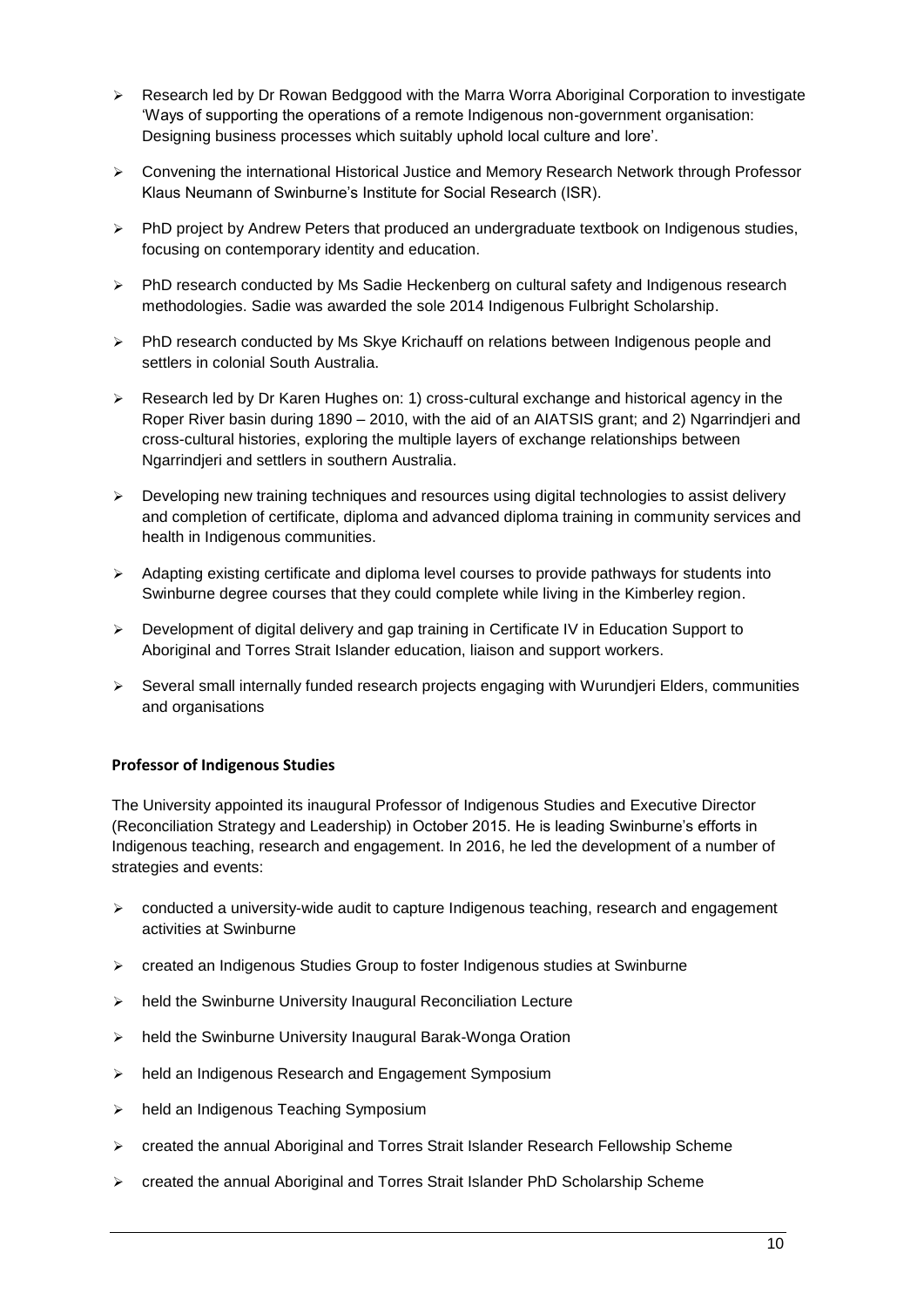- **EXECT** Research led by Dr Rowan Bedggood with the Marra Worra Aboriginal Corporation to investigate 'Ways of supporting the operations of a remote Indigenous non-government organisation: Designing business processes which suitably uphold local culture and lore'.
- $\triangleright$  Convening the international Historical Justice and Memory Research Network through Professor Klaus Neumann of Swinburne's Institute for Social Research (ISR).
- PhD project by Andrew Peters that produced an undergraduate textbook on Indigenous studies, focusing on contemporary identity and education.
- $\triangleright$  PhD research conducted by Ms Sadie Heckenberg on cultural safety and Indigenous research methodologies. Sadie was awarded the sole 2014 Indigenous Fulbright Scholarship.
- $\triangleright$  PhD research conducted by Ms Skye Krichauff on relations between Indigenous people and settlers in colonial South Australia.
- Research led by Dr Karen Hughes on: 1) cross-cultural exchange and historical agency in the Roper River basin during 1890 – 2010, with the aid of an AIATSIS grant; and 2) Ngarrindjeri and cross-cultural histories, exploring the multiple layers of exchange relationships between Ngarrindjeri and settlers in southern Australia.
- $\triangleright$  Developing new training techniques and resources using digital technologies to assist delivery and completion of certificate, diploma and advanced diploma training in community services and health in Indigenous communities.
- $\triangleright$  Adapting existing certificate and diploma level courses to provide pathways for students into Swinburne degree courses that they could complete while living in the Kimberley region.
- $\triangleright$  Development of digital delivery and gap training in Certificate IV in Education Support to Aboriginal and Torres Strait Islander education, liaison and support workers.
- $\triangleright$  Several small internally funded research projects engaging with Wurundjeri Elders, communities and organisations

# **Professor of Indigenous Studies**

The University appointed its inaugural Professor of Indigenous Studies and Executive Director (Reconciliation Strategy and Leadership) in October 2015. He is leading Swinburne's efforts in Indigenous teaching, research and engagement. In 2016, he led the development of a number of strategies and events:

- conducted a university-wide audit to capture Indigenous teaching, research and engagement activities at Swinburne
- created an Indigenous Studies Group to foster Indigenous studies at Swinburne
- $\triangleright$  held the Swinburne University Inaugural Reconciliation Lecture
- $\triangleright$  held the Swinburne University Inaugural Barak-Wonga Oration
- > held an Indigenous Research and Engagement Symposium
- > held an Indigenous Teaching Symposium
- created the annual Aboriginal and Torres Strait Islander Research Fellowship Scheme
- created the annual Aboriginal and Torres Strait Islander PhD Scholarship Scheme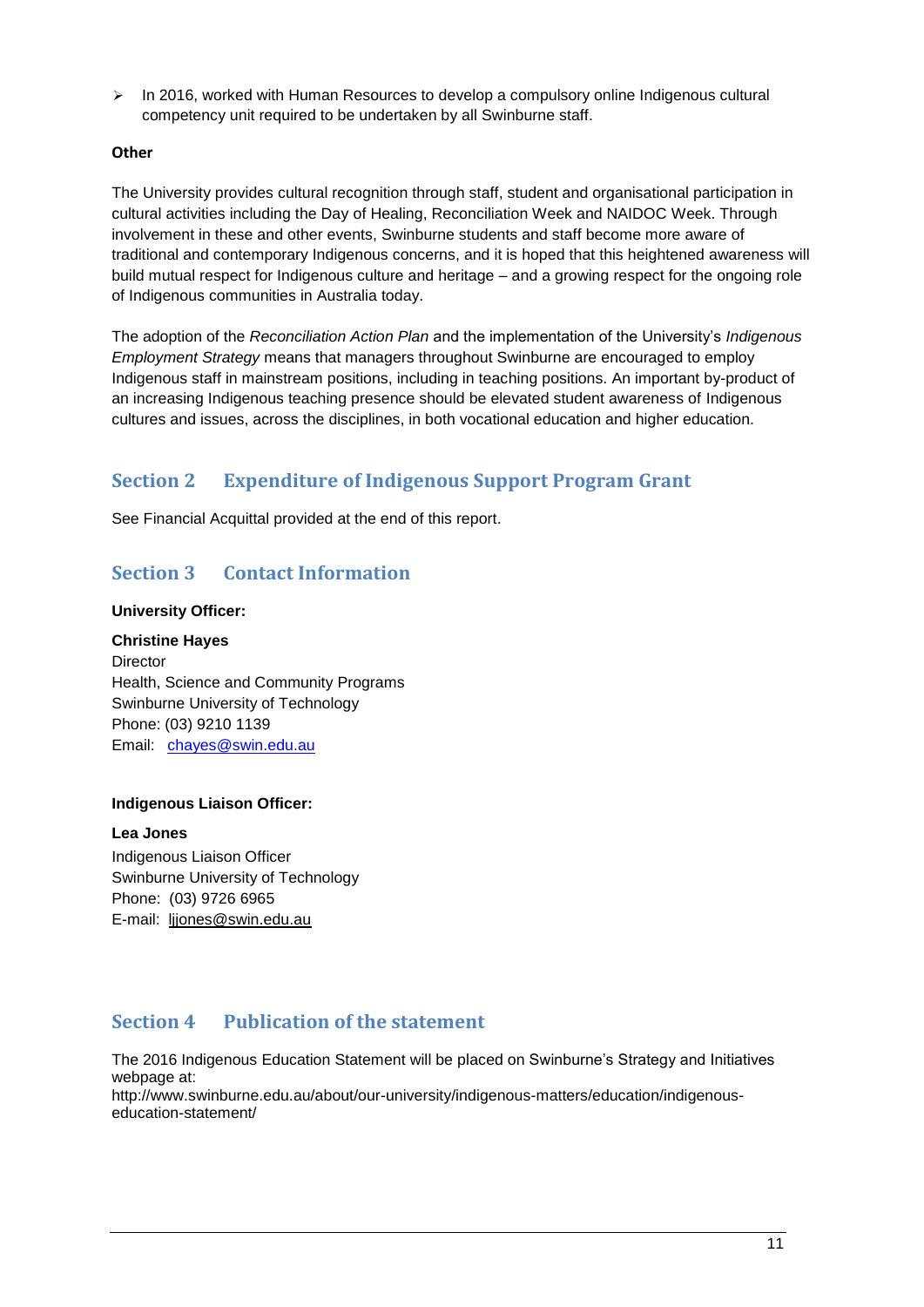$\geq$  In 2016, worked with Human Resources to develop a compulsory online Indigenous cultural competency unit required to be undertaken by all Swinburne staff.

## **Other**

The University provides cultural recognition through staff, student and organisational participation in cultural activities including the Day of Healing, Reconciliation Week and NAIDOC Week. Through involvement in these and other events, Swinburne students and staff become more aware of traditional and contemporary Indigenous concerns, and it is hoped that this heightened awareness will build mutual respect for Indigenous culture and heritage – and a growing respect for the ongoing role of Indigenous communities in Australia today.

The adoption of the *Reconciliation Action Plan* and the implementation of the University's *Indigenous Employment Strategy* means that managers throughout Swinburne are encouraged to employ Indigenous staff in mainstream positions, including in teaching positions. An important by-product of an increasing Indigenous teaching presence should be elevated student awareness of Indigenous cultures and issues, across the disciplines, in both vocational education and higher education.

# **Section 2 Expenditure of Indigenous Support Program Grant**

See Financial Acquittal provided at the end of this report.

# **Section 3 Contact Information**

## **University Officer:**

**Christine Hayes Director** Health, Science and Community Programs Swinburne University of Technology Phone: (03) 9210 1139 Email: [chayes@swin.edu.au](mailto:chayes@swin.edu.au)

## **Indigenous Liaison Officer:**

**Lea Jones** Indigenous Liaison Officer Swinburne University of Technology Phone: (03) 9726 6965 E-mail: [ljjones@swin.edu.au](mailto:ljjones@swin.edu.au)

# **Section 4 Publication of the statement**

The 2016 Indigenous Education Statement will be placed on Swinburne's Strategy and Initiatives webpage at:

http://www.swinburne.edu.au/about/our-university/indigenous-matters/education/indigenouseducation-statement/